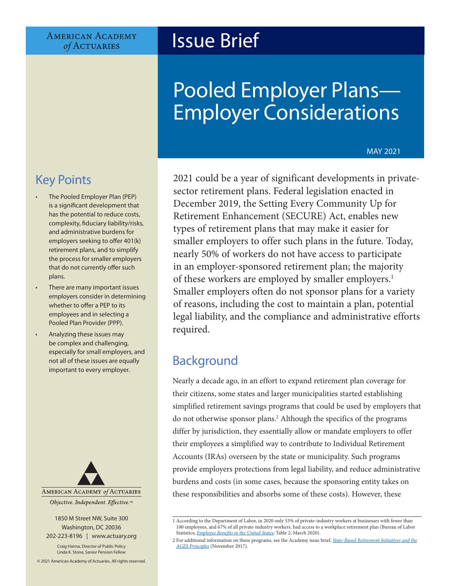### **AMERICAN ACADEMY** of ACTUARIES

## Issue Brief

# Pooled Employer Plans— Employer Considerations

#### MAY 2021

## Key Points

- The Pooled Employer Plan (PEP) is a significant development that has the potential to reduce costs, complexity, fiduciary liability/risks, and administrative burdens for employers seeking to offer 401(k) retirement plans, and to simplify the process for smaller employers that do not currently offer such plans.
- There are many important issues employers consider in determining whether to offer a PEP to its employees and in selecting a Pooled Plan Provider (PPP).
- Analyzing these issues may be complex and challenging, especially for small employers, and not all of these issues are equally important to every employer.



1850 M Street NW, Suite 300 Washington, DC 20036 202-223-8196 | [www.actuary.org](http://actuary.org)

Craig Hanna, Director of Public Policy Linda K. Stone, Senior Pension Fellow

© 2021 American Academy of Actuaries. All rights reserved.

2021 could be a year of significant developments in privatesector retirement plans. Federal legislation enacted in December 2019, the Setting Every Community Up for Retirement Enhancement (SECURE) Act, enables new types of retirement plans that may make it easier for smaller employers to offer such plans in the future. Today, nearly 50% of workers do not have access to participate in an employer-sponsored retirement plan; the majority of these workers are employed by smaller employers.<sup>1</sup> Smaller employers often do not sponsor plans for a variety of reasons, including the cost to maintain a plan, potential legal liability, and the compliance and administrative efforts required.

## Background

Nearly a decade ago, in an effort to expand retirement plan coverage for their citizens, some states and larger municipalities started establishing simplified retirement savings programs that could be used by employers that do not otherwise sponsor plans.2 Although the specifics of the programs differ by jurisdiction, they essentially allow or mandate employers to offer their employees a simplified way to contribute to Individual Retirement Accounts (IRAs) overseen by the state or municipality. Such programs provide employers protections from legal liability, and reduce administrative burdens and costs (in some cases, because the sponsoring entity takes on these responsibilities and absorbs some of these costs). However, these

<sup>1</sup> According to the Department of Labor, in 2020 only 53% of private-industry workers at businesses with fewer than 100 employees, and 67% of all private-industry workers, had access to a workplace retirement plan (Bureau of Labor Statistics; *[Employee Benefits in the United States](https://www.bls.gov/ncs/ebs/benefits/2020/employee-benefits-in-the-united-states-march-2020.pdf)*; Table 2; March 2020).

<sup>2</sup> For additional information on these programs, see the Academy issue brief, *[State-Based Retirement Initiatives and the](https://www.actuary.org/content/state-based-retirement-initiatives-and-ages-principles) [AGES Principles](https://www.actuary.org/content/state-based-retirement-initiatives-and-ages-principles)* (November 2017).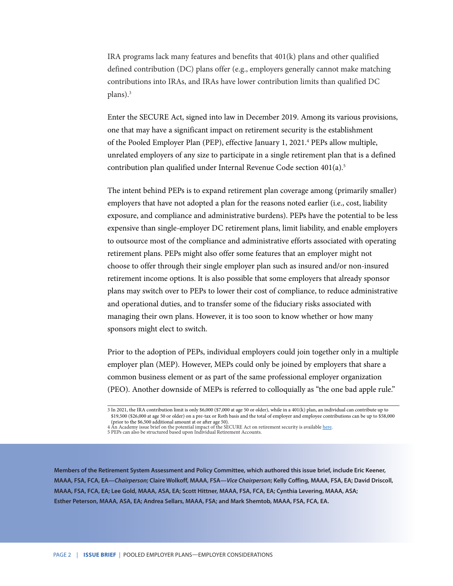IRA programs lack many features and benefits that 401(k) plans and other qualified defined contribution (DC) plans offer (e.g., employers generally cannot make matching contributions into IRAs, and IRAs have lower contribution limits than qualified DC plans).3

Enter the SECURE Act, signed into law in December 2019. Among its various provisions, one that may have a significant impact on retirement security is the establishment of the Pooled Employer Plan (PEP), effective January 1, 2021.<sup>4</sup> PEPs allow multiple, unrelated employers of any size to participate in a single retirement plan that is a defined contribution plan qualified under Internal Revenue Code section 401(a).5

The intent behind PEPs is to expand retirement plan coverage among (primarily smaller) employers that have not adopted a plan for the reasons noted earlier (i.e., cost, liability exposure, and compliance and administrative burdens). PEPs have the potential to be less expensive than single-employer DC retirement plans, limit liability, and enable employers to outsource most of the compliance and administrative efforts associated with operating retirement plans. PEPs might also offer some features that an employer might not choose to offer through their single employer plan such as insured and/or non-insured retirement income options. It is also possible that some employers that already sponsor plans may switch over to PEPs to lower their cost of compliance, to reduce administrative and operational duties, and to transfer some of the fiduciary risks associated with managing their own plans. However, it is too soon to know whether or how many sponsors might elect to switch.

Prior to the adoption of PEPs, individual employers could join together only in a multiple employer plan (MEP). However, MEPs could only be joined by employers that share a common business element or as part of the same professional employer organization (PEO). Another downside of MEPs is referred to colloquially as "the one bad apple rule."

**Members of the Retirement System Assessment and Policy Committee, which authored this issue brief, include Eric Keener, MAAA, FSA, FCA, EA—***Chairperson***; Claire Wolkoff, MAAA, FSA—***Vice Chairperson***; Kelly Coffing, MAAA, FSA, EA; David Driscoll, MAAA, FSA, FCA, EA; Lee Gold, MAAA, ASA, EA; Scott Hittner, MAAA, FSA, FCA, EA; Cynthia Levering, MAAA, ASA; Esther Peterson, MAAA, ASA, EA; Andrea Sellars, MAAA, FSA; and Mark Shemtob, MAAA, FSA, FCA, EA.** 

<sup>3</sup> In 2021, the IRA contribution limit is only \$6,000 (\$7,000 at age 50 or older), while in a 401(k) plan, an individual can contribute up to \$19,500 (\$26,000 at age 50 or older) on a pre-tax or Roth basis and the total of employer and employee contributions can be up to \$58,000 (prior to the \$6,500 additional amount at or after age 50).

<sup>4</sup> An Academy issue brief on the potential impact of the SECURE Act on retirement security is available <u>here</u>.<br>5 PEPs can also be structured based upon Individual Retirement Accounts.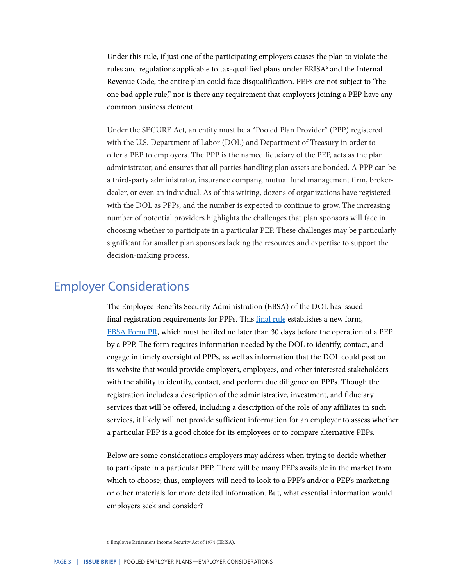Under this rule, if just one of the participating employers causes the plan to violate the rules and regulations applicable to tax-qualified plans under ERISA<sup>6</sup> and the Internal Revenue Code, the entire plan could face disqualification. PEPs are not subject to "the one bad apple rule," nor is there any requirement that employers joining a PEP have any common business element.

Under the SECURE Act, an entity must be a "Pooled Plan Provider" (PPP) registered with the U.S. Department of Labor (DOL) and Department of Treasury in order to offer a PEP to employers. The PPP is the named fiduciary of the PEP, acts as the plan administrator, and ensures that all parties handling plan assets are bonded. A PPP can be a third-party administrator, insurance company, mutual fund management firm, brokerdealer, or even an individual. As of this writing, dozens of organizations have registered with the DOL as PPPs, and the number is expected to continue to grow. The increasing number of potential providers highlights the challenges that plan sponsors will face in choosing whether to participate in a particular PEP. These challenges may be particularly significant for smaller plan sponsors lacking the resources and expertise to support the decision-making process.

## Employer Considerations

The Employee Benefits Security Administration (EBSA) of the DOL has issued final registration requirements for PPPs. This *[final rule](https://www.federalregister.gov/documents/2020/11/16/2020-25170/registration-requirements-for-pooled-plan-providers)* establishes a new form, [EBSA Form PR,](https://www.dol.gov/sites/dolgov/files/EBSA/employers-and-advisers/plan-administration-and-compliance/reporting-and-filing/form-pr/form.pdf) which must be filed no later than 30 days before the operation of a PEP by a PPP. The form requires information needed by the DOL to identify, contact, and engage in timely oversight of PPPs, as well as information that the DOL could post on its website that would provide employers, employees, and other interested stakeholders with the ability to identify, contact, and perform due diligence on PPPs. Though the registration includes a description of the administrative, investment, and fiduciary services that will be offered, including a description of the role of any affiliates in such services, it likely will not provide sufficient information for an employer to assess whether a particular PEP is a good choice for its employees or to compare alternative PEPs.

Below are some considerations employers may address when trying to decide whether to participate in a particular PEP. There will be many PEPs available in the market from which to choose; thus, employers will need to look to a PPP's and/or a PEP's marketing or other materials for more detailed information. But, what essential information would employers seek and consider?

<sup>6</sup> Employee Retirement Income Security Act of 1974 (ERISA).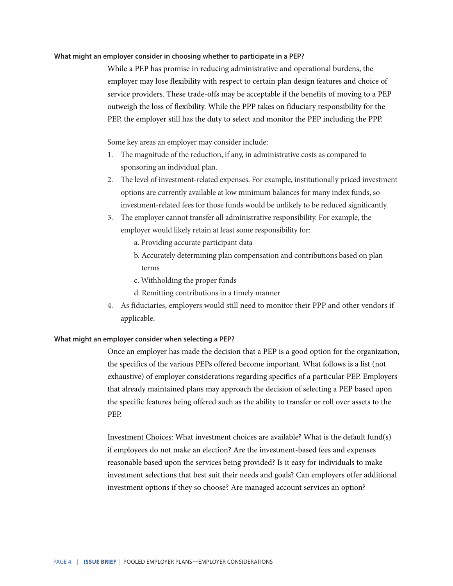#### **What might an employer consider in choosing whether to participate in a PEP?**

While a PEP has promise in reducing administrative and operational burdens, the employer may lose flexibility with respect to certain plan design features and choice of service providers. These trade-offs may be acceptable if the benefits of moving to a PEP outweigh the loss of flexibility. While the PPP takes on fiduciary responsibility for the PEP, the employer still has the duty to select and monitor the PEP including the PPP.

Some key areas an employer may consider include:

- 1. The magnitude of the reduction, if any, in administrative costs as compared to sponsoring an individual plan.
- 2. The level of investment-related expenses. For example, institutionally priced investment options are currently available at low minimum balances for many index funds, so investment-related fees for those funds would be unlikely to be reduced significantly.
- 3. The employer cannot transfer all administrative responsibility. For example, the employer would likely retain at least some responsibility for:
	- a. Providing accurate participant data
	- b. Accurately determining plan compensation and contributions based on plan terms
	- c. Withholding the proper funds
	- d. Remitting contributions in a timely manner
- 4. As fiduciaries, employers would still need to monitor their PPP and other vendors if applicable.

#### **What might an employer consider when selecting a PEP?**

Once an employer has made the decision that a PEP is a good option for the organization, the specifics of the various PEPs offered become important. What follows is a list (not exhaustive) of employer considerations regarding specifics of a particular PEP. Employers that already maintained plans may approach the decision of selecting a PEP based upon the specific features being offered such as the ability to transfer or roll over assets to the PEP.

Investment Choices: What investment choices are available? What is the default fund(s) if employees do not make an election? Are the investment-based fees and expenses reasonable based upon the services being provided? Is it easy for individuals to make investment selections that best suit their needs and goals? Can employers offer additional investment options if they so choose? Are managed account services an option?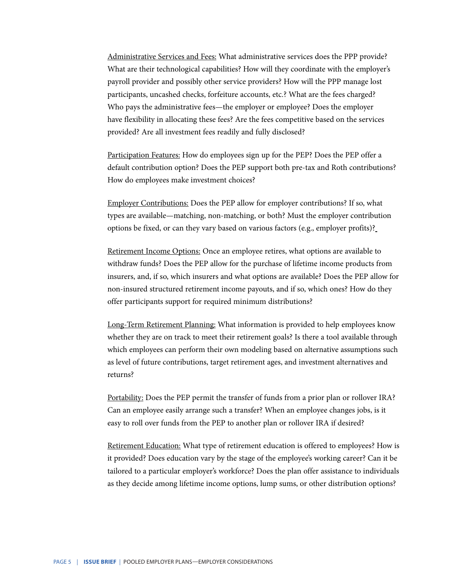Administrative Services and Fees: What administrative services does the PPP provide? What are their technological capabilities? How will they coordinate with the employer's payroll provider and possibly other service providers? How will the PPP manage lost participants, uncashed checks, forfeiture accounts, etc.? What are the fees charged? Who pays the administrative fees—the employer or employee? Does the employer have flexibility in allocating these fees? Are the fees competitive based on the services provided? Are all investment fees readily and fully disclosed?

Participation Features: How do employees sign up for the PEP? Does the PEP offer a default contribution option? Does the PEP support both pre-tax and Roth contributions? How do employees make investment choices?

Employer Contributions: Does the PEP allow for employer contributions? If so, what types are available—matching, non-matching, or both? Must the employer contribution options be fixed, or can they vary based on various factors (e.g., employer profits)?

Retirement Income Options: Once an employee retires, what options are available to withdraw funds? Does the PEP allow for the purchase of lifetime income products from insurers, and, if so, which insurers and what options are available? Does the PEP allow for non-insured structured retirement income payouts, and if so, which ones? How do they offer participants support for required minimum distributions?

Long-Term Retirement Planning: What information is provided to help employees know whether they are on track to meet their retirement goals? Is there a tool available through which employees can perform their own modeling based on alternative assumptions such as level of future contributions, target retirement ages, and investment alternatives and returns?

Portability: Does the PEP permit the transfer of funds from a prior plan or rollover IRA? Can an employee easily arrange such a transfer? When an employee changes jobs, is it easy to roll over funds from the PEP to another plan or rollover IRA if desired?

Retirement Education: What type of retirement education is offered to employees? How is it provided? Does education vary by the stage of the employee's working career? Can it be tailored to a particular employer's workforce? Does the plan offer assistance to individuals as they decide among lifetime income options, lump sums, or other distribution options?